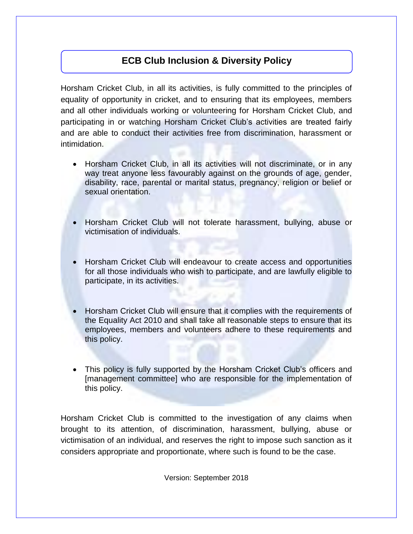## **ECB Club Inclusion & Diversity Policy**

Horsham Cricket Club, in all its activities, is fully committed to the principles of equality of opportunity in cricket, and to ensuring that its employees, members and all other individuals working or volunteering for Horsham Cricket Club, and participating in or watching Horsham Cricket Club's activities are treated fairly and are able to conduct their activities free from discrimination, harassment or intimidation.

- Horsham Cricket Club, in all its activities will not discriminate, or in any way treat anyone less favourably against on the grounds of age, gender, disability, race, parental or marital status, pregnancy, religion or belief or sexual orientation.
- Horsham Cricket Club will not tolerate harassment, bullying, abuse or victimisation of individuals.
- Horsham Cricket Club will endeavour to create access and opportunities for all those individuals who wish to participate, and are lawfully eligible to participate, in its activities.
- Horsham Cricket Club will ensure that it complies with the requirements of the Equality Act 2010 and shall take all reasonable steps to ensure that its employees, members and volunteers adhere to these requirements and this policy.
- This policy is fully supported by the Horsham Cricket Club's officers and [management committee] who are responsible for the implementation of this policy.

Horsham Cricket Club is committed to the investigation of any claims when brought to its attention, of discrimination, harassment, bullying, abuse or victimisation of an individual, and reserves the right to impose such sanction as it considers appropriate and proportionate, where such is found to be the case.

Version: September 2018